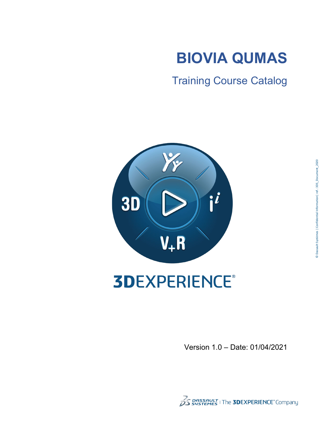

Training Course Catalog



# **3DEXPERIENCE®**

Version 1.0 – Date: 01/04/2021

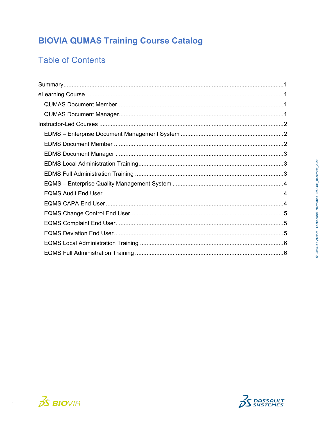# **BIOVIA QUMAS Training Course Catalog**

## **Table of Contents**



 $\overline{\textbf{H}}$ 

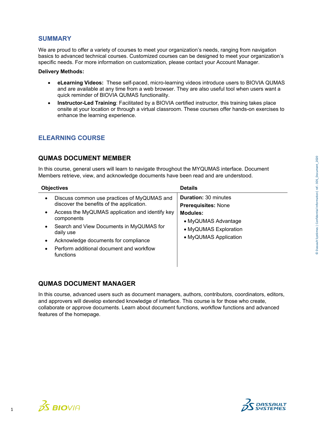#### <span id="page-2-0"></span>**SUMMARY**

We are proud to offer a variety of courses to meet your organization's needs, ranging from navigation basics to advanced technical courses. Customized courses can be designed to meet your organization's specific needs. For more information on customization, please contact your Account Manager.

#### **Delivery Methods:**

- **eLearning Videos:** These self-paced, micro-learning videos introduce users to BIOVIA QUMAS and are available at any time from a web browser. They are also useful tool when users want a quick reminder of BIOVIA QUMAS functionality.
- **Instructor-Led Training**: Facilitated by a BIOVIA certified instructor, this training takes place onsite at your location or through a virtual classroom. These courses offer hands-on exercises to enhance the learning experience.

#### <span id="page-2-1"></span>**ELEARNING COURSE**

#### <span id="page-2-2"></span>**QUMAS DOCUMENT MEMBER**

In this course, general users will learn to navigate throughout the MYQUMAS interface. Document Members retrieve, view, and acknowledge documents have been read and are understood.

| <b>Objectives</b>                                                                                                                                | <b>Details</b>                                            |
|--------------------------------------------------------------------------------------------------------------------------------------------------|-----------------------------------------------------------|
| Discuss common use practices of MyQUMAS and<br>$\bullet$<br>discover the benefits of the application.                                            | <b>Duration: 30 minutes</b><br><b>Prerequisites: None</b> |
| Access the MyQUMAS application and identify key<br>$\bullet$<br>components<br>Search and View Documents in MyQUMAS for<br>$\bullet$<br>daily use | Modules:<br>• MyQUMAS Advantage<br>• MyQUMAS Exploration  |
| Acknowledge documents for compliance<br>Perform additional document and workflow<br>functions                                                    | • MyQUMAS Application                                     |

#### <span id="page-2-3"></span>**QUMAS DOCUMENT MANAGER**

In this course, advanced users such as document managers, authors, contributors, coordinators, editors, and approvers will develop extended knowledge of interface. This course is for those who create, collaborate or approve documents. Learn about document functions, workflow functions and advanced features of the homepage.



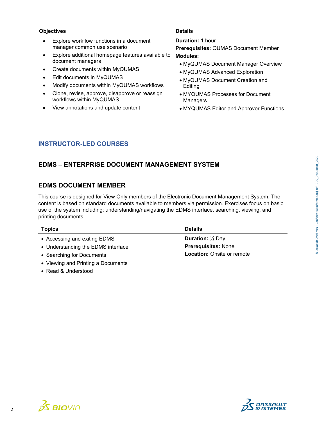|                | Objectives                                                                                                        | <b>Details</b>                                                                          |
|----------------|-------------------------------------------------------------------------------------------------------------------|-----------------------------------------------------------------------------------------|
|                | Explore workflow functions in a document<br>manager common use scenario                                           | Duration: 1 hour<br><b>Prerequisites: QUMAS Document Member</b>                         |
|                | Explore additional homepage features available to<br>document managers                                            | Modules:<br>• MyQUMAS Document Manager Overview                                         |
| ٠              | Create documents within MyQUMAS<br>Edit documents in MyQUMAS<br>Modify documents within MyQUMAS workflows         | • MyQUMAS Advanced Exploration<br>• MyQUMAS Document Creation and<br>Editing            |
| $\bullet$<br>٠ | Clone, revise, approve, disapprove or reassign<br>workflows within MyQUMAS<br>View annotations and update content | • MYQUMAS Processes for Document<br>Managers<br>• MYQUMAS Editor and Approver Functions |

#### <span id="page-3-0"></span>**INSTRUCTOR-LED COURSES**

#### <span id="page-3-1"></span>**EDMS – ENTERPRISE DOCUMENT MANAGEMENT SYSTEM**

#### <span id="page-3-2"></span>**EDMS DOCUMENT MEMBER**

This course is designed for View Only members of the Electronic Document Management System. The content is based on standard documents available to members via permission. Exercises focus on basic use of the system including: understanding/navigating the EDMS interface, searching, viewing, and printing documents.

| <b>Topics</b>                      | <b>Details</b>                     |
|------------------------------------|------------------------------------|
| • Accessing and exiting EDMS       | <b>Duration:</b> $\frac{1}{2}$ Day |
| • Understanding the EDMS interface | <b>Prerequisites: None</b>         |
| • Searching for Documents          | <b>Location: Onsite or remote</b>  |
| • Viewing and Printing a Documents |                                    |
| • Read & Understood                |                                    |



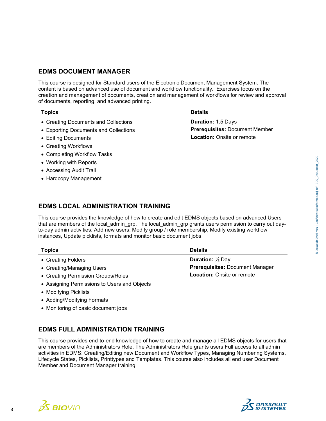#### <span id="page-4-0"></span>**EDMS DOCUMENT MANAGER**

This course is designed for Standard users of the Electronic Document Management System. The content is based on advanced use of document and workflow functionality. Exercises focus on the creation and management of documents, creation and management of workflows for review and approval of documents, reporting, and advanced printing.

| <b>Topics</b>                         | <b>Details</b>                        |
|---------------------------------------|---------------------------------------|
| • Creating Documents and Collections  | <b>Duration: 1.5 Days</b>             |
| • Exporting Documents and Collections | <b>Prerequisites: Document Member</b> |
| • Editing Documents                   | <b>Location:</b> Onsite or remote     |
| • Creating Workflows                  |                                       |
| • Completing Workflow Tasks           |                                       |
| • Working with Reports                |                                       |
| • Accessing Audit Trail               |                                       |
| • Hardcopy Management                 |                                       |

#### <span id="page-4-1"></span>**EDMS LOCAL ADMINISTRATION TRAINING**

This course provides the knowledge of how to create and edit EDMS objects based on advanced Users that are members of the local\_admin\_grp. The local\_admin\_grp grants users permission to carry out dayto-day admin activities: Add new users, Modify group / role membership, Modify existing workflow instances, Update picklists, formats and monitor basic document jobs.

| <b>Topics</b>                                | <b>Details</b>                         |
|----------------------------------------------|----------------------------------------|
| • Creating Folders                           | <b>Duration:</b> 1/2 Day               |
| • Creating/Managing Users                    | <b>Prerequisites: Document Manager</b> |
| • Creating Permission Groups/Roles           | <b>Location: Onsite or remote</b>      |
| • Assigning Permissions to Users and Objects |                                        |
| • Modifying Picklists                        |                                        |
| • Adding/Modifying Formats                   |                                        |
| • Monitoring of basic document jobs          |                                        |

#### <span id="page-4-2"></span>**EDMS FULL ADMINISTRATION TRAINING**

This course provides end-to-end knowledge of how to create and manage all EDMS objects for users that are members of the Administrators Role. The Administrators Role grants users Full access to all admin activities in EDMS: Creating/Editing new Document and Workflow Types, Managing Numbering Systems, Lifecycle States, Picklists, Printtypes and Templates. This course also includes all end user Document Member and Document Manager training



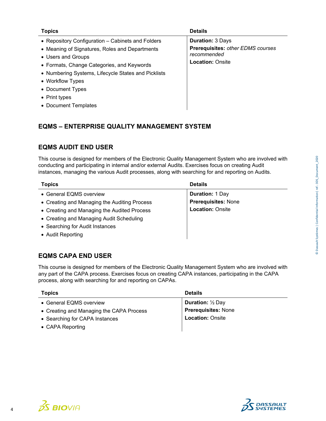| <b>Topics</b>                                       | <b>Details</b>                    |
|-----------------------------------------------------|-----------------------------------|
| • Repository Configuration – Cabinets and Folders   | <b>Duration: 3 Days</b>           |
| • Meaning of Signatures, Roles and Departments      | Prerequisites: other EDMS courses |
| • Users and Groups                                  | recommended                       |
| • Formats, Change Categories, and Keywords          | <b>Location: Onsite</b>           |
| • Numbering Systems, Lifecycle States and Picklists |                                   |
| • Workflow Types                                    |                                   |
| • Document Types                                    |                                   |
| • Print types                                       |                                   |
| • Document Templates                                |                                   |
|                                                     |                                   |

#### <span id="page-5-0"></span>**EQMS – ENTERPRISE QUALITY MANAGEMENT SYSTEM**

#### <span id="page-5-1"></span>**EQMS AUDIT END USER**

This course is designed for members of the Electronic Quality Management System who are involved with conducting and participating in internal and/or external Audits. Exercises focus on creating Audit instances, managing the various Audit processes, along with searching for and reporting on Audits.

| <b>Topics</b>                                | <b>Details</b>             |
|----------------------------------------------|----------------------------|
| • General EQMS overview                      | <b>Duration: 1 Day</b>     |
| • Creating and Managing the Auditing Process | <b>Prerequisites: None</b> |
| • Creating and Managing the Audited Process  | <b>Location: Onsite</b>    |
| • Creating and Managing Audit Scheduling     |                            |
| • Searching for Audit Instances              |                            |
| • Audit Reporting                            |                            |

#### <span id="page-5-2"></span>**EQMS CAPA END USER**

This course is designed for members of the Electronic Quality Management System who are involved with any part of the CAPA process. Exercises focus on creating CAPA instances, participating in the CAPA process, along with searching for and reporting on CAPAs.

| <b>Topics</b>                            | <b>Details</b>                     |
|------------------------------------------|------------------------------------|
| • General EQMS overview                  | <b>Duration:</b> $\frac{1}{2}$ Day |
| • Creating and Managing the CAPA Process | <b>Prerequisites: None</b>         |
| • Searching for CAPA Instances           | <b>Location: Onsite</b>            |
| • CAPA Reporting                         |                                    |



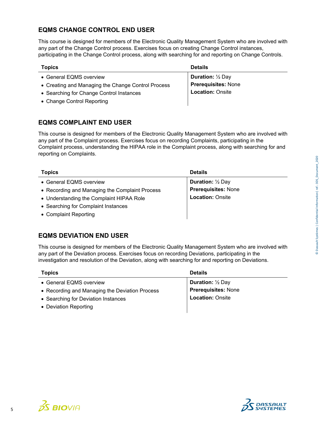$35$  BIOVIA

### **EQMS CHANGE CONTROL END USER**

This course is designed for members of the Electronic Quality Management System who are involved with any part of the Change Control process. Exercises focus on creating Change Control instances, participating in the Change Control process, along with searching for and reporting on Change Controls.

#### **Topics Details**

- General EQMS overview
- Creating and Managing the Change Control Process
- Searching for Change Control Instances
- <span id="page-6-0"></span>• Change Control Reporting

| <b>Duration:</b> ½ Day     |  |
|----------------------------|--|
| <b>Prerequisites: None</b> |  |
| <b>Location: Onsite</b>    |  |

#### **EQMS COMPLAINT END USER**

This course is designed for members of the Electronic Quality Management System who are involved with any part of the Complaint process. Exercises focus on recording Complaints, participating in the Complaint process, understanding the HIPAA role in the Complaint process, along with searching for and reporting on Complaints.

| <b>Topics</b>                                  | <b>Details</b>             |
|------------------------------------------------|----------------------------|
| • General EQMS overview                        | <b>Duration:</b> 1/2 Day   |
| • Recording and Managing the Complaint Process | <b>Prerequisites: None</b> |
| • Understanding the Complaint HIPAA Role       | <b>Location: Onsite</b>    |
| • Searching for Complaint Instances            |                            |
| • Complaint Reporting                          |                            |

#### <span id="page-6-1"></span>**EQMS DEVIATION END USER**

This course is designed for members of the Electronic Quality Management System who are involved with any part of the Deviation process. Exercises focus on recording Deviations, participating in the investigation and resolution of the Deviation, along with searching for and reporting on Deviations.

| <b>Topics</b>                                  | <b>Details</b>           |
|------------------------------------------------|--------------------------|
| • General EQMS overview                        | <b>Duration:</b> 1/2 Day |
| • Recording and Managing the Deviation Process | Prerequisites: None      |
| • Searching for Deviation Instances            | <b>Location: Onsite</b>  |
| • Deviation Reporting                          |                          |

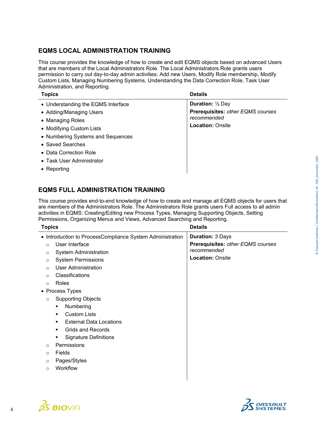#### <span id="page-7-0"></span>**EQMS LOCAL ADMINISTRATION TRAINING**

This course provides the knowledge of how to create and edit EQMS objects based on advanced Users that are members of the Local Administrators Role. The Local Administrators Role grants users permission to carry out day-to-day admin activities: Add new Users, Modify Role membership, Modify Custom Lists, Managing Numbering Systems, Understanding the Data Correction Role, Task User Administration, and Reporting.

| <b>Topics</b>                      | <b>Details</b>                                                              |
|------------------------------------|-----------------------------------------------------------------------------|
| • Understanding the EQMS Interface | <b>Duration:</b> 1/2 Day                                                    |
| • Adding/Managing Users            | Prerequisites: other EQMS courses<br>recommended<br><b>Location: Onsite</b> |
| • Managing Roles                   |                                                                             |
| • Modifying Custom Lists           |                                                                             |
| • Numbering Systems and Sequences  |                                                                             |
| • Saved Searches                   |                                                                             |
| • Data Correction Role             |                                                                             |
| • Task User Administrator          |                                                                             |
| • Reporting                        |                                                                             |

#### <span id="page-7-1"></span>**EQMS FULL ADMINISTRATION TRAINING**

This course provides end-to-end knowledge of how to create and manage all EQMS objects for users that are members of the Administrators Role. The Administrators Role grants users Full access to all admin activities in EQMS: Creating/Editing new Process Types, Managing Supporting Objects, Setting Permissions, Organizing Menus and Views, Advanced Searching and Reporting.

| <b>Topics</b>                                                                                                                                                                                                                                                                                                                                                                    | <b>Details</b>                                                                                         |
|----------------------------------------------------------------------------------------------------------------------------------------------------------------------------------------------------------------------------------------------------------------------------------------------------------------------------------------------------------------------------------|--------------------------------------------------------------------------------------------------------|
| • Introduction to ProcessCompliance System Administration<br>User Interface<br>$\Omega$<br>System Administration<br>O<br><b>System Permissions</b><br>$\circ$<br><b>User Administration</b><br>$\circ$<br>Classifications<br>$\bigcap$<br>Roles<br>$\circ$<br>• Process Types<br><b>Supporting Objects</b><br>$\circ$<br>Numbering<br>٠<br><b>Custom Lists</b><br>$\blacksquare$ | <b>Duration: 3 Days</b><br>Prerequisites: other EQMS courses<br>recommended<br><b>Location: Onsite</b> |
| <b>External Data Locations</b><br><b>Grids and Records</b><br>٠<br><b>Signature Definitions</b><br>٠<br>Permissions<br>$\circ$<br>Fields<br>$\Omega$<br>Pages/Styles<br>$\circ$<br>Workflow<br>$\Omega$                                                                                                                                                                          |                                                                                                        |